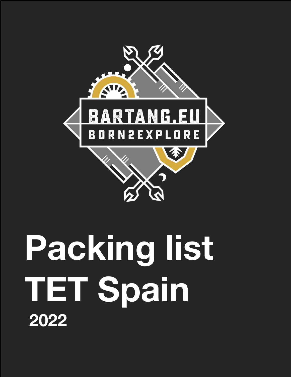

# **Packing list TET Spain 2022**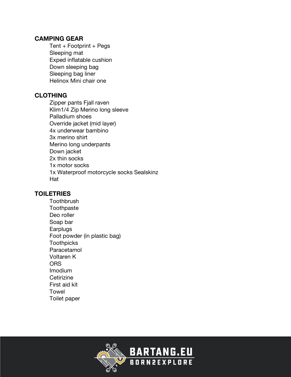#### **CAMPING GEAR**

 $Tent + Footprint + Pegs$  Sleeping mat Exped inflatable cushion Down sleeping bag Sleeping bag liner Helinox Mini chair one

#### **CLOTHING**

 Zipper pants Fjall raven Klim1/4 Zip Merino long sleeve Palladium shoes Override jacket (mid layer) 4x underwear bambino 3x merino shirt Merino long underpants Down jacket 2x thin socks 1x motor socks 1x Waterproof motorcycle socks Sealskinz Hat

#### **TOILETRIES**

**Toothbrush Toothpaste**  Deo roller Soap bar **Earplugs**  Foot powder (in plastic bag) **Toothpicks**  Paracetamol Voltaren K **ORS**  Imodium **Cetirizine**  First aid kit Towel Toilet paper

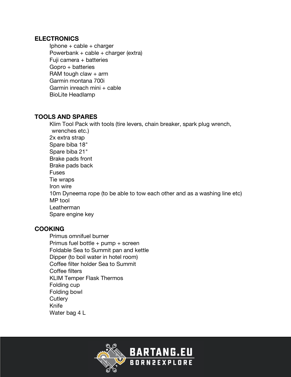#### **ELECTRONICS**

Iphone  $+$  cable  $+$  charger Powerbank + cable + charger (extra) Fuji camera  $+$  batteries  $G$ opro + batteries RAM tough claw  $+$  arm Garmin montana 700i Garmin inreach mini + cable BioLite Headlamp

#### **TOOLS AND SPARES**

 Klim Tool Pack with tools (tire levers, chain breaker, spark plug wrench, wrenches etc.) 2x extra strap Spare biba 18" Spare biba 21" Brake pads front Brake pads back Fuses Tie wraps Iron wire 10m Dyneema rope (to be able to tow each other and as a washing line etc) MP tool Leatherman Spare engine key

#### **COOKING**

 Primus omnifuel burner Primus fuel bottle + pump + screen Foldable Sea to Summit pan and kettle Dipper (to boil water in hotel room) Coffee filter holder Sea to Summit Coffee filters KLIM Temper Flask Thermos Folding cup Folding bowl **Cutlery**  Knife Water bag 4 L

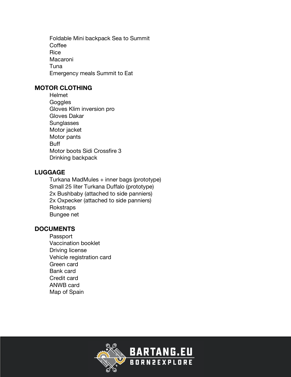Foldable Mini backpack Sea to Summit **Coffee Rice**  Macaroni Tuna Emergency meals Summit to Eat

#### **MOTOR CLOTHING**

 Helmet **Goggles**  Gloves Klim inversion pro Gloves Dakar **Sunglasses**  Motor jacket Motor pants Buff Motor boots Sidi Crossfire 3 Drinking backpack

#### **LUGGAGE**

 Turkana MadMules + inner bags (prototype) Small 25 liter Turkana Duffalo (prototype) 2x Bushbaby (attached to side panniers) 2x Oxpecker (attached to side panniers) **Rokstraps** Bungee net

#### **DOCUMENTS**

 Passport Vaccination booklet Driving license Vehicle registration card Green card Bank card Credit card ANWB card Map of Spain